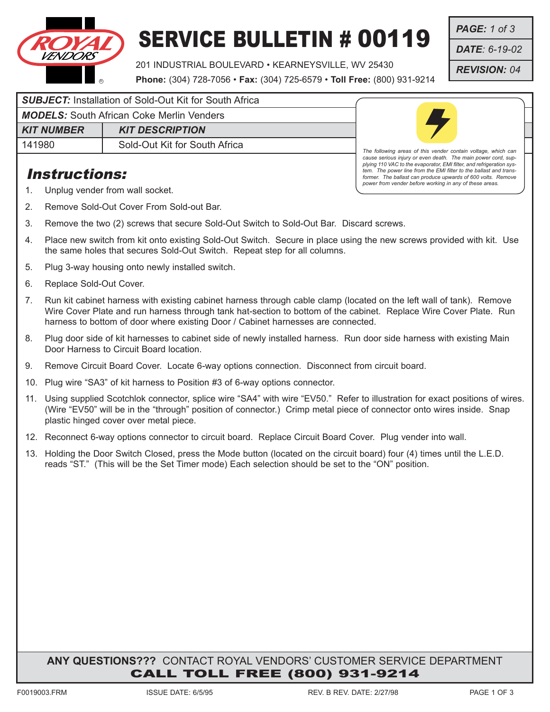

# SERVICE BULLETIN # 00119

201 INDUSTRIAL BOULEVARD • KEARNEYSVILLE, WV 25430

**Phone:** (304) 728-7056 • **Fax:** (304) 725-6579 • **Toll Free:** (800) 931-9214

*PAGE: 1 of 3*

*DATE: 6-19-02*

*REVISION: 04*

### **SUBJECT:** Installation of Sold-Out Kit for South Africa

*MODELS:* South African Coke Merlin Venders

*KIT NUMBER* | *KIT DESCRIPTION* 

141980 **Sold-Out Kit for South Africa** 

## Instructions:



*The following areas of this vender contain voltage, which can cause serious injury or even death. The main power cord, sup-plying 110 VAC to the evaporator, EMI filter, and refrigeration system. The power line from the EMI filter to the ballast and transformer. The ballast can produce upwards of 600 volts. Remove power from vender before working in any of these areas.*

- 1. Unplug vender from wall socket.
- 2. Remove Sold-Out Cover From Sold-out Bar.
- 3. Remove the two (2) screws that secure Sold-Out Switch to Sold-Out Bar. Discard screws.
- 4. Place new switch from kit onto existing Sold-Out Switch. Secure in place using the new screws provided with kit. Use the same holes that secures Sold-Out Switch. Repeat step for all columns.
- 5. Plug 3-way housing onto newly installed switch.
- 6. Replace Sold-Out Cover.
- 7. Run kit cabinet harness with existing cabinet harness through cable clamp (located on the left wall of tank). Remove Wire Cover Plate and run harness through tank hat-section to bottom of the cabinet. Replace Wire Cover Plate. Run harness to bottom of door where existing Door / Cabinet harnesses are connected.
- 8. Plug door side of kit harnesses to cabinet side of newly installed harness. Run door side harness with existing Main Door Harness to Circuit Board location.
- 9. Remove Circuit Board Cover. Locate 6-way options connection. Disconnect from circuit board.
- 10. Plug wire "SA3" of kit harness to Position #3 of 6-way options connector.
- 11. Using supplied Scotchlok connector, splice wire "SA4" with wire "EV50." Refer to illustration for exact positions of wires. (Wire "EV50" will be in the "through" position of connector.) Crimp metal piece of connector onto wires inside. Snap plastic hinged cover over metal piece.
- 12. Reconnect 6-way options connector to circuit board. Replace Circuit Board Cover. Plug vender into wall.
- 13. Holding the Door Switch Closed, press the Mode button (located on the circuit board) four (4) times until the L.E.D. reads "ST." (This will be the Set Timer mode) Each selection should be set to the "ON" position.

### **ANY QUESTIONS???** CONTACT ROYAL VENDORS' CUSTOMER SERVICE DEPARTMENT CALL TOLL FREE (800) 931-9214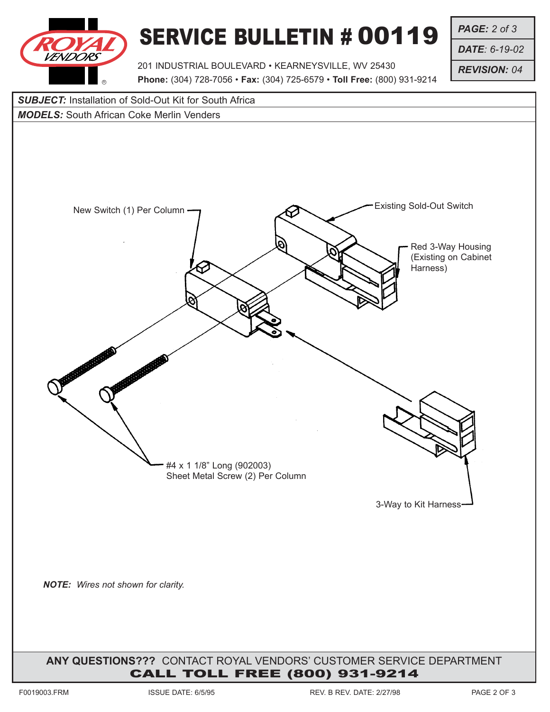

# SERVICE BULLETIN # 00119

*PAGE: 2 of 3*

*DATE: 6-19-02*

*REVISION: 04*

201 INDUSTRIAL BOULEVARD • KEARNEYSVILLE, WV 25430 **Phone:** (304) 728-7056 • **Fax:** (304) 725-6579 • **Toll Free:** (800) 931-9214

#### **SUBJECT:** Installation of Sold-Out Kit for South Africa

#### *MODELS:* South African Coke Merlin Venders